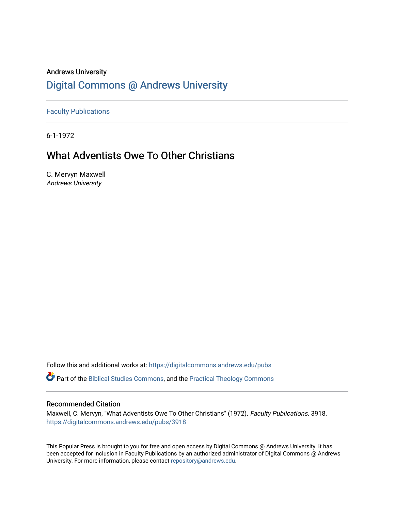### Andrews University [Digital Commons @ Andrews University](https://digitalcommons.andrews.edu/)

[Faculty Publications](https://digitalcommons.andrews.edu/pubs)

6-1-1972

## What Adventists Owe To Other Christians

C. Mervyn Maxwell Andrews University

Follow this and additional works at: [https://digitalcommons.andrews.edu/pubs](https://digitalcommons.andrews.edu/pubs?utm_source=digitalcommons.andrews.edu%2Fpubs%2F3918&utm_medium=PDF&utm_campaign=PDFCoverPages) 

Part of the [Biblical Studies Commons,](http://network.bepress.com/hgg/discipline/539?utm_source=digitalcommons.andrews.edu%2Fpubs%2F3918&utm_medium=PDF&utm_campaign=PDFCoverPages) and the [Practical Theology Commons](http://network.bepress.com/hgg/discipline/1186?utm_source=digitalcommons.andrews.edu%2Fpubs%2F3918&utm_medium=PDF&utm_campaign=PDFCoverPages) 

#### Recommended Citation

Maxwell, C. Mervyn, "What Adventists Owe To Other Christians" (1972). Faculty Publications. 3918. [https://digitalcommons.andrews.edu/pubs/3918](https://digitalcommons.andrews.edu/pubs/3918?utm_source=digitalcommons.andrews.edu%2Fpubs%2F3918&utm_medium=PDF&utm_campaign=PDFCoverPages) 

This Popular Press is brought to you for free and open access by Digital Commons @ Andrews University. It has been accepted for inclusion in Faculty Publications by an authorized administrator of Digital Commons @ Andrews University. For more information, please contact [repository@andrews.edu](mailto:repository@andrews.edu).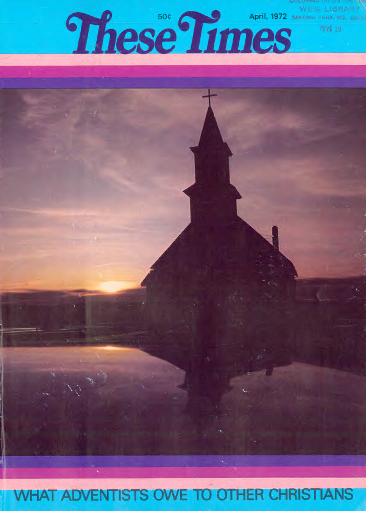

# **WHAT ADVENTISTS OWE TO OTHER CHRISTIANS**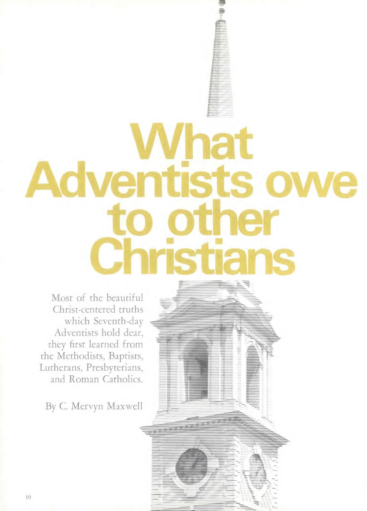# **What Adventists owe ter Christians**

 $\frac{1}{2}$ 

*••=11•••••••••-•••* 41•••••••

**•••••••• .1••••=1.1** 

Most of the beautiful Christ-centered truths which Seventh-day Adventists hold dear, they first learned from the Methodists, Baptists, Lutherans, Presbyterians, and Roman Catholics.

By C. Mervyn Maxwell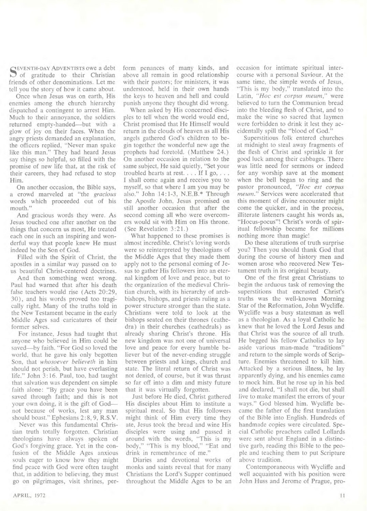SEVENTH-DAY ADVENTISTS owe a debt<br>
S of gratitude to their Christian friends of other denominations. Let me tell you the story of how it came about.

Once when Jesus was on earth, His enemies among the church hierarchy dispatched a contingent to arrest Him. Much to their annoyance, the soldiers returned empty-handed—but with a glow of joy on their faces. When the angry priests demanded an explanation, the officers replied, "Never man spake like this man." They had heard Jesus say things so helpful, so filled with the promise of new life that, at the risk of their careers, they had refused to stop Him.

On another occasion, the Bible says, a crowd marveled at "the *gracious*  words which proceeded out of his mouth."

And gracious words they were. As Jesus touched one after another on the things that concern us most, He treated each one in such an inspiring and wonderful way that people knew He must indeed be the Son of God.

Filled with the Spirit of Christ, the apostles in a similar way passed on to us beautiful Christ-centered doctrines.

And then something went wrong. Paul had warned that after his death false teachers would rise (Acts 20:29, 30), and his words proved too tragically right. Many of the truths told in the New Testament became in the early Middle Ages sad caricatures of their former selves.

For instance, Jesus had taught that anyone who believed in Him could be saved—by faith. "For God so loved the world, that he gave his only begotten Son, that *whosoever believeth* in him should not perish, but have everlasting life." John 3:16. Paul, too, had taught that salvation was dependent on simple faith alone: "By grace you have been saved through faith; and this is not your own doing, it is the gift of God not because of works, lest any man should boast." Ephesians 2:8, 9, R.S.V.

Never was this fundamental Christian truth totally forgotten. Christian theologians have always spoken of God's forgiving grace. Yet in the confusion of the Middle Ages anxious souls eager to know how they might find peace with God were often taught that, in addition to believing, they must go on pilgrimages, visit shrines, per-

form penances of many kinds, and above all remain in good relationship with their pastors; for ministers, it was understood, held in their own hands the keys to heaven and hell and could punish anyone they thought did wrong.

When asked by His concerned disciples to tell when the world would end, Christ promised that He Himself would return in the clouds of heaven as all His angels gathered God's children to begin together the wonderful new age the prophets had foretold. (Matthew 24.) On another occasion in relation to the same subject, He said quietly, "Set your troubled hearts at rest. . . . If I go, . . . I shall come again and receive you to myself, so that where I am you may be also." John 14:1-3, N.E.B.\* Through the Apostle John, Jesus promised on still another occasion that after the second coming all who were overcomers would sit with Him on His throne. (See Revelation 3:21.)

What happened to these promises is almost incredible. Christ's loving words were so reinterpreted by theologians of the Middle Ages that they made them apply not to the personal coming of Jesus to gather His followers into an eternal kingdom of love and peace, but to the organization of the medieval Christian church, with its hierarchy of archbishops, bishops, and priests ruling as a power structure stronger than the state. Christians were told to look at the bishops seated on their thrones (cathedra) in their churches (cathedrals) as already sharing Christ's throne. His new kingdom was not one of universal love and peace for every humble believer but of the never-ending struggle between priests and kings, church and state. The literal return of Christ was not denied, of course, but it was thrust so far off into a dim and misty future that it was virtually forgotten.

Just before He died, Christ gathered His disciples about Him to institute a spiritual meal. So that His followers might think of Him every time they ate, Jesus took the bread and wine His disciples were using and passed it around with the words, "This is my body," "This is my blood," "Eat and drink in remembrance of me."

Diaries and devotional works of monks and saints reveal that for many Christians the Lord's Supper continued throughout the Middle Ages to be an

occasion for intimate spiritual intercourse with a personal Saviour. At the same time, the simple words of Jesus, "This is my body," translated into the Latin, *"Hoc est corpus meum,"* were believed to turn the Communion bread into the bleeding flesh of Christ, and to make the wine so sacred that laymen were forbidden to drink it lest they accidentally spill the "blood of God."

Superstitious folk entered churches at midnight to steal away fragments of the flesh of Christ and sprinkle it for good luck among their cabbages. There was little need for sermons or indeed for any worship save at the moment when the bell began to ring and the pastor pronounced, *"Hoc est corpus meum."* Services were accelerated that this moment of divine encounter might come the quicker, and in the process, illiterate listeners caught his words as, "Hocus-pocus"! Christ's words of spiritual fellowship became for millions nothing more than magic!

Do these alterations of truth surprise you? Then you should thank God that during the course of history men and women arose who recovered New Testament truth in its original beauty.

One of the first great Christians to begin the arduous task of removing the superstitions that encrusted Christ's truths was the well-known Morning Star of the Reformation, John Wycliffe. Wycliffe was a busy statesman as well as a theologian. As a loyal Catholic he knew that he loved the Lord Jesus and that Christ was the source of all truth. He begged his fellow Catholics to lay aside various man-made "traditions" and return to the simple words of Scripture. Enemies threatened to kill him. Attacked by a serious illness, he lay apparently dying, and his enemies came to mock him. But he rose up in his bed and declared, "I shall not die, but shall live to make manifest the errors of your ways." God blessed him. Wycliffe became the father of the first translation of the Bible into English. Hundreds of handmade copies were circulated. Special Catholic preachers called Lollards were sent about England in a distinctive garb, reading this Bible to the people and teaching them to put Scripture above tradition.

Contemporaneous with Wycliffe and well acquainted with his position were John Huss and Jerome of Prague, pro-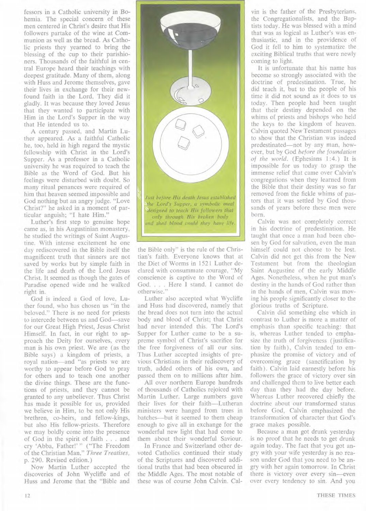fessors in a Catholic university in Bohemia. The special concern of these men centered in Christ's desire that His followers partake of the wine at Communion as well as the bread. As Catholic priests they yearned to bring the blessing of the cup to their parishioners. Thousands of the faithful in central Europe heard their teachings with deepest gratitude. Many of them, along with Huss and Jerome themselves, gave their lives in exchange for their newfound faith in the Lord. They did it gladly. It was because they loved Jesus that they wanted to participate with Him in the Lord's Supper in the way that He intended us to.

A century passed, and Martin Luther appeared. As a faithful Catholic he, too, held in high regard the mystic fellowship with Christ in the Lord's Supper. As a professor in a Catholic university he was required to teach the Bible as the Word of God. But his feelings were disturbed with doubt. So many ritual penances were required of him that heaven seemed impossible and God nothing but an angry judge. "Love Christ?" he asked in a moment of particular anguish; "I hate Him."

Luther's first step to genuine hope came as, in his Augustinian monastery, he studied the writings of Saint Augustine. With intense excitement he one day rediscovered in the Bible itself the magnificent truth that sinners are not saved by works but by simple faith in the life and death of the Lord Jesus Christ. It seemed as though the gates of Paradise opened wide and he walked right in.

God is indeed a God of love, Luther found, who has chosen us "in the beloved." There is no need for priests to intercede between us and God—save for our Great High Priest, Jesus Christ Himself. In fact, in our right to approach the Deity for ourselves, every man is his own priest. We are (as the Bible says) a kingdom of priests, a royal nation—and "as priests we are worthy to appear before God to pray for others and to teach one another the divine things. These are the functions of priests, and they cannot be granted to any unbeliever. Thus Christ has made it possible for us, provided we believe in Him, to be not only His brethren, co-heirs, and fellow-kings, but also His fellow-priests. Therefore we may boldly come into the presence of God in the spirit of faith . . . and cry `Abba, Father!' " ("The Freedom of the Christian Man," *Three Treatises,*  p. 290. Revised edition.)

Now Martin Luther accepted the discoveries of John Wycliffe and of Huss and Jerome that the "Bible and



the Bible only" is the rule of the Christian's faith. Everyone knows that at the Diet of Worms in 1521 Luther declared with consummate courage, "My conscience is captive to the Word of God. . . . Here I stand. I cannot do otherwise."

Luther also accepted what Wycliffe and Huss had discovered, namely that the bread does not turn into the actual body and blood of Christ; that Christ had never intended this. The Lord's Supper for Luther came to be a supreme symbol of Christ's sacrifice for the free forgiveness of all our sins. Thus Luther accepted insights of previous Christians in their rediscovery of truth, added others of his own, and passed them on to millions after him.

All over northern Europe hundreds of thousands of Catholics rejoiced with Martin Luther. Large numbers gave their lives for their faith—Lutheran ministers were hanged from trees in batches—but it seemed to them cheap enough to give all in exchange for the wonderful new light that had come to them about their wonderful Saviour.

In France and Switzerland other devoted Catholics continued their study of the Scriptures and discovered additional truths that had been obscured in the Middle Ages. The most notable of these was of course John Calvin. Cal-

yin is the father of the Presbyterians, the Congregationalists, and the Baptists today. He was blessed with a mind that was as logical as Luther's was enthusiastic, and in the providence of God it fell to him to systematize the exciting Biblical truths that were newly coming to light.

It is unfortunate that his name has become so strongly associated with the doctrine of predestination. True, he did teach it, but to the people of his time it did not sound as it does to us today. Then people had been taught that their destiny depended on the whims of priests and bishops who held the keys to the kingdom of heaven. Calvin quoted New Testament passages to show that the Christian was indeed predestinated—not by any man, however, but by God *before the foundation of the world.* (Ephesians 1:4.) It is impossible for us today to grasp the immense relief that came over Calvin's congregations when they learned from the Bible that their destiny was so far removed from the fickle whims of pastors that it was settled by God thousands of years before these men were born.

Calvin was not completely correct in his doctrine of predestination. He taught that once a man had been chosen by God for salvation, even the man himself could not choose to be lost. Calvin did not get this from the New Testament but from the theologian Saint Augustine of the early Middle Ages. Nonetheless, when he put man's destiny in the hands of God rather than in the hands of men, Calvin was moving his people significantly closer to the glorious truths of Scripture.

Calvin did something else which in contrast to Luther is more a matter of emphasis than specific teaching: that is, whereas Luther tended to emphasize the truth of forgiveness (justification by faith), Calvin tended to emphasize the promise of victory and of overcoming grace (sanctification by faith). Calvin laid earnestly before his followers the grace of victory over sin and challenged them to live better each day than they had the day before. Whereas Luther recovered chiefly the doctrine about our transformed status before God, Calvin emphasized the transformation of character that God's grace makes possible.

Because a man got drunk yesterday is no proof that he needs to get drunk again today. The fact that you got angry with your wife yesterday is no reason under God that you need to be angry with her again tomorrow. In Christ there is victory over every sin—even over every tendency to sin. And you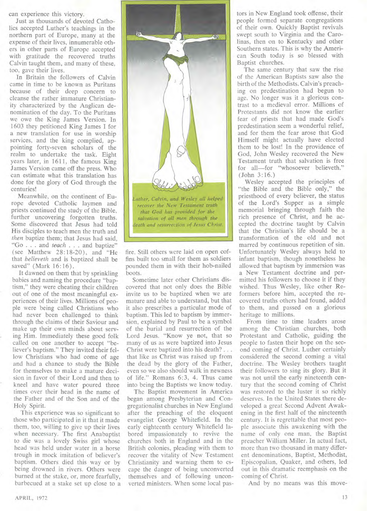can experience this victory.

Just as thousands of devoted Catholics accepted Luther's teachings in the northern part of Europe, many at the expense of their lives, innumerable others in other parts of Europe accepted with gratitude the recovered truths Calvin taught them, and many of these, too, gave their lives.

In Britain the followers of Calvin came in time to be known as Puritans because of their deep concern to cleanse the rather immature Christianity characterized by the Anglican denomination of the day. To the Puritans we owe the King James Version. In 1603 they petitioned King James I for a new translation for use in worship services, and the king complied, appointing forty-seven scholars of the realm to undertake the task. Eight years later, in 1611, the famous King James Version came off the press. Who can estimate what this translation has done for the glory of God through the centuries!

Meanwhile, on the continent of Europe devoted Catholic laymen and priests continued the study of the Bible, further uncovering forgotten truths. Some discovered that Jesus had told His disciples to teach men the truth and *then* baptize them; that Jesus had said, "Go . . . and *teach . . .* and baptize" (see Matthew 28:18-20), and "He that *believeth* and is baptized shall be saved" (Mark 16:16).

It dawned on them that by sprinkling babies and naming the procedure "baptism," they were cheating their children out of one of the most meaningful experiences of their lives. Millions of people were being called Christians who had never been challenged to think through the claims of their Saviour and make up their own minds about serving Him. Immediately these good folk called on one another to accept "believer's baptism." They invited their fellow Christians who had come of age and had a chance to study the Bible for themselves to make a mature decision in favor of their Lord and then to kneel and have water poured three times over their head in the name of the Father and of the Son and of the Holy Spirit.

This experience was so significant to those who participated in it that it made them, too, willing to give up their lives when necessary. The first Anabaptist to die was a lovely Swiss girl whose head was held under water in a horse trough in mock imitation of believer's baptism. Others died this way or by being drowned in rivers. Others were burned at the stake, or, more fearfully, barbecued at a stake set up close to a



fire. Still others were laid on open coffins built too small for them as soldiers pounded them in with their hob-nailed boots.

Sometime later other Christians discovered that not only does the Bible invite us to be baptized when we are mature and able to understand, but that it also prescribes a particular mode of baptism. This led to baptism by immersion, explained by Paul to be a symbol of the burial and resurrection of the Lord Jesus. "Know ye not, that so many of us as were baptized into Jesus Christ were baptized into his death? . . . that like as Christ was raised up from the dead by the glory of the Father, even so we also should walk in newness of life." Romans 6:3, 4. Thus came into being the Baptists we know today.

The Baptist movement in America began among Presbyterian and Congregationalist churches in New England after the preaching of the eloquent evangelist George Whitefield. In the early eighteenth century Whitefield labored impassionately to revive the churches both in England and in the British colonies, pleading with them to recover the vitality of New Testament Christianity and warning them to escape the danger of being unconverted themselves and of following unconverted ministers. When some local pas-

tors in New England took offense, their people formed separate congregations of their own. Quickly Baptist revivals swept south to Virginia and the Carolinas, then on to Kentucky and other Southern states. This is why the American South today is so blessed with Baptist churches.

The same century that saw the rise of the American Baptists saw also the birth of the Methodists. Calvin's preaching on predestination had begun to age. No longer was it a glorious contrast to a medieval error. Millions of Protestants did not know the earlier fear of priests that had made God's predestination seem a wonderful relief, and for them the fear arose that God Himself might actually have elected them to be lost! In the providence of God, John Wesley recovered the New Testament truth that salvation is free for all—for "whosoever believeth." (John 3:16.)

Wesley accepted the principles of "the Bible and the Bible only," the priesthood of every believer, the status of the Lord's Supper as a simple memorial bringing through faith the rich presence of Christ, and he accepted the doctrine taught by Calvin that the Christian's life should be a transformation of the old and not marred by continuous repetition of sin. Unfortunately Wesley always held to infant baptism, though nonetheless he allowed that baptism by immersion was a New Testament doctrine and permitted his followers to choose it if they wished. Thus Wesley, like other Reformers before him, accepted the recovered truths others had found, added to them, and passed on a glorious heritage to millions.

From time to time leaders arose among the Christian churches, both Protestant and Catholic, guiding the people to fasten their hope on the second coming of Christ. Luther certainly considered the second coming a vital doctrine. The Wesley brothers taught their followers to sing its glory. But it was not until the early nineteenth century that the second coming of Christ was restored to the luster it so richly deserves. In the United States there developed a great Second Advent Awakening in the first half of the nineteenth century. It is regrettable that most people associate this awakening with the name of only one man, the Baptist preacher William. Miller. In actual fact, more than two thousand in many different denominations, Baptist, Methodist, Episcopalian, Quaker, and others, led out in this dramatic reemphasis on the coming of Christ.

And by no means was this move-